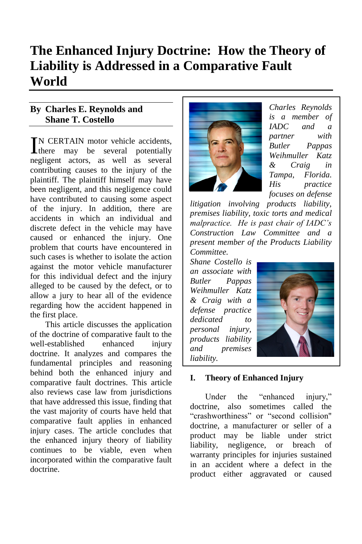# **The Enhanced Injury Doctrine: How the Theory of Liability is Addressed in a Comparative Fault World**

## **By Charles E. Reynolds and Shane T. Costello**

N CERTAIN motor vehicle accidents, IN CERTAIN motor vehicle accidents,<br>there may be several potentially negligent actors, as well as several contributing causes to the injury of the plaintiff. The plaintiff himself may have been negligent, and this negligence could have contributed to causing some aspect of the injury. In addition, there are accidents in which an individual and discrete defect in the vehicle may have caused or enhanced the injury. One problem that courts have encountered in such cases is whether to isolate the action against the motor vehicle manufacturer for this individual defect and the injury alleged to be caused by the defect, or to allow a jury to hear all of the evidence regarding how the accident happened in the first place.

This article discusses the application of the doctrine of comparative fault to the well-established enhanced injury doctrine. It analyzes and compares the fundamental principles and reasoning behind both the enhanced injury and comparative fault doctrines. This article also reviews case law from jurisdictions that have addressed this issue, finding that the vast majority of courts have held that comparative fault applies in enhanced injury cases. The article concludes that the enhanced injury theory of liability continues to be viable, even when incorporated within the comparative fault doctrine.



*Charles Reynolds is a member of IADC and a partner with Butler Pappas Weihmuller Katz & Craig in Tampa, Florida. His practice focuses on defense* 

*litigation involving products liability, premises liability, toxic torts and medical malpractice. He is past chair of IADC's Construction Law Committee and a present member of the Products Liability Committee.* 

*Shane Costello is an associate with Butler Pappas Weihmuller Katz & Craig with a defense practice dedicated to personal injury, products liability and premises liability.*



#### **I. Theory of Enhanced Injury**

Under the "enhanced injury," doctrine, also sometimes called the "crashworthiness" or "second collision" doctrine, a manufacturer or seller of a product may be liable under strict liability, negligence, or breach of warranty principles for injuries sustained in an accident where a defect in the product either aggravated or caused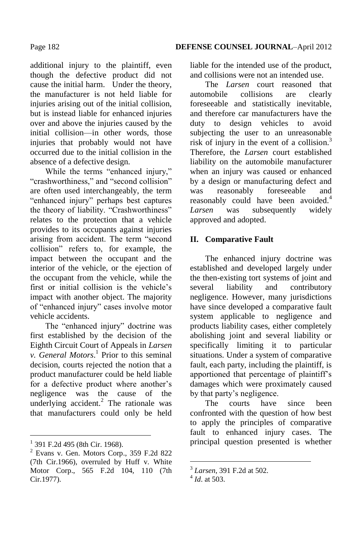additional injury to the plaintiff, even though the defective product did not cause the initial harm. Under the theory, the manufacturer is not held liable for injuries arising out of the initial collision, but is instead liable for enhanced injuries over and above the injuries caused by the initial collision—in other words, those injuries that probably would not have occurred due to the initial collision in the absence of a defective design.

While the terms "enhanced injury," "crashworthiness," and "second collision" are often used interchangeably, the term "enhanced injury" perhaps best captures the theory of liability. "Crashworthiness" relates to the protection that a vehicle provides to its occupants against injuries arising from accident. The term "second collision" refers to, for example, the impact between the occupant and the interior of the vehicle, or the ejection of the occupant from the vehicle, while the first or initial collision is the vehicle's impact with another object. The majority of "enhanced injury" cases involve motor vehicle accidents.

The "enhanced injury" doctrine was first established by the decision of the Eighth Circuit Court of Appeals in *Larsen v. General Motors*. 1 Prior to this seminal decision, courts rejected the notion that a product manufacturer could be held liable for a defective product where another's negligence was the cause of the underlying accident. $^{2}$  The rationale was that manufacturers could only be held

 $\overline{a}$ 

liable for the intended use of the product, and collisions were not an intended use.

The *Larsen* court reasoned that automobile collisions are clearly foreseeable and statistically inevitable, and therefore car manufacturers have the duty to design vehicles to avoid subjecting the user to an unreasonable risk of injury in the event of a collision. $3$ Therefore, the *Larsen* court established liability on the automobile manufacturer when an injury was caused or enhanced by a design or manufacturing defect and was reasonably foreseeable and reasonably could have been avoided.<sup>4</sup> *Larsen* was subsequently widely approved and adopted.

#### **II. Comparative Fault**

The enhanced injury doctrine was established and developed largely under the then-existing tort systems of joint and several liability and contributory negligence. However, many jurisdictions have since developed a comparative fault system applicable to negligence and products liability cases, either completely abolishing joint and several liability or specifically limiting it to particular situations. Under a system of comparative fault, each party, including the plaintiff, is apportioned that percentage of plaintiff's damages which were proximately caused by that party's negligence.

The courts have since been confronted with the question of how best to apply the principles of comparative fault to enhanced injury cases. The principal question presented is whether

1

<sup>&</sup>lt;sup>1</sup> 391 F.2d 495 (8th Cir. 1968).

 $2$  Evans v. Gen. Motors Corp., 359 F.2d 822 (7th Cir.1966), overruled by Huff v. White Motor Corp., 565 F.2d 104, 110 (7th Cir.1977).

<sup>3</sup> *Larsen*, 391 F.2d at 502.

<sup>4</sup> *Id*. at 503.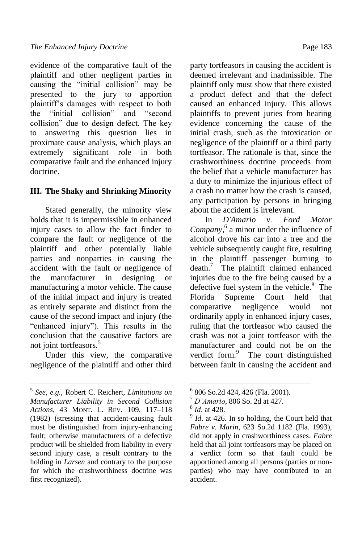evidence of the comparative fault of the plaintiff and other negligent parties in causing the "initial collision" may be presented to the jury to apportion plaintiff's damages with respect to both the "initial collision" and "second collision" due to design defect. The key to answering this question lies in proximate cause analysis, which plays an extremely significant role in both comparative fault and the enhanced injury doctrine.

#### **III. The Shaky and Shrinking Minority**

Stated generally, the minority view holds that it is impermissible in enhanced injury cases to allow the fact finder to compare the fault or negligence of the plaintiff and other potentially liable parties and nonparties in causing the accident with the fault or negligence of the manufacturer in designing or manufacturing a motor vehicle. The cause of the initial impact and injury is treated as entirely separate and distinct from the cause of the second impact and injury (the "enhanced injury"). This results in the conclusion that the causative factors are not joint tortfeasors.<sup>5</sup>

Under this view, the comparative negligence of the plaintiff and other third

 $\overline{a}$ 

party tortfeasors in causing the accident is deemed irrelevant and inadmissible. The plaintiff only must show that there existed a product defect and that the defect caused an enhanced injury. This allows plaintiffs to prevent juries from hearing evidence concerning the cause of the initial crash, such as the intoxication or negligence of the plaintiff or a third party tortfeasor. The rationale is that, since the crashworthiness doctrine proceeds from the belief that a vehicle manufacturer has a duty to minimize the injurious effect of a crash no matter how the crash is caused, any participation by persons in bringing about the accident is irrelevant.

In *D'Amario v. Ford Motor Company*, 6 a minor under the influence of alcohol drove his car into a tree and the vehicle subsequently caught fire, resulting in the plaintiff passenger burning to  $death.<sup>7</sup>$  The plaintiff claimed enhanced injuries due to the fire being caused by a defective fuel system in the vehicle.<sup>8</sup> The Florida Supreme Court held that comparative negligence would not ordinarily apply in enhanced injury cases, ruling that the tortfeasor who caused the crash was not a joint tortfeasor with the manufacturer and could not be on the verdict form.<sup>9</sup> The court distinguished between fault in causing the accident and

1

<sup>5</sup> *See, e.g.,* Robert C. Reichert, *Limitations on Manufacturer Liability in Second Collision Actions*, 43 MONT. L. REV. 109, 117–118 (1982) (stressing that accident-causing fault must be distinguished from injury-enhancing fault; otherwise manufacturers of a defective product will be shielded from liability in every second injury case, a result contrary to the holding in *Larsen* and contrary to the purpose for which the crashworthiness doctrine was first recognized).

<sup>6</sup> 806 So.2d 424, 426 (Fla. 2001).

<sup>7</sup> *D'Amario*, 806 So. 2d at 427.

<sup>8</sup> *Id*. at 428.

<sup>9</sup> *Id*. at 426. In so holding, the Court held that *Fabre v. Marin*, 623 So.2d 1182 (Fla. 1993), did not apply in crashworthiness cases. *Fabre* held that all joint tortfeasors may be placed on a verdict form so that fault could be apportioned among all persons (parties or nonparties) who may have contributed to an accident.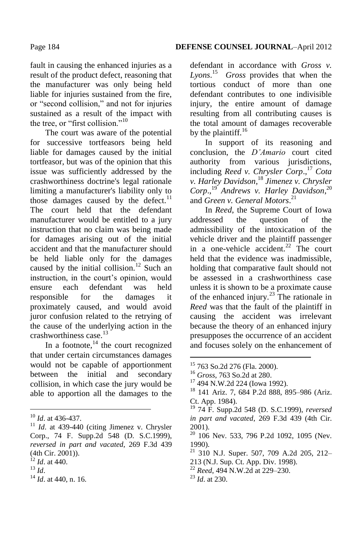Page 184 **DEFENSE COUNSEL JOURNAL**–April 2012

fault in causing the enhanced injuries as a result of the product defect, reasoning that the manufacturer was only being held liable for injuries sustained from the fire, or "second collision," and not for injuries sustained as a result of the impact with the tree, or "first collision."<sup>10</sup>

The court was aware of the potential for successive tortfeasors being held liable for damages caused by the initial tortfeasor, but was of the opinion that this issue was sufficiently addressed by the crashworthiness doctrine's legal rationale limiting a manufacturer's liability only to those damages caused by the defect. $11$ The court held that the defendant manufacturer would be entitled to a jury instruction that no claim was being made for damages arising out of the initial accident and that the manufacturer should be held liable only for the damages caused by the initial collision.<sup>12</sup> Such an instruction, in the court's opinion, would ensure each defendant was held responsible for the damages it proximately caused, and would avoid juror confusion related to the retrying of the cause of the underlying action in the crashworthiness case.<sup>13</sup>

In a footnote, $14$  the court recognized that under certain circumstances damages would not be capable of apportionment between the initial and secondary collision, in which case the jury would be able to apportion all the damages to the

 $\overline{a}$ 

<sup>14</sup> *Id*. at 440, n. 16.

defendant in accordance with *Gross v. Lyons*. 15 *Gross* provides that when the tortious conduct of more than one defendant contributes to one indivisible injury, the entire amount of damage resulting from all contributing causes is the total amount of damages recoverable by the plaintiff. $16$ 

In support of its reasoning and conclusion, the *D'Amario* court cited authority from various jurisdictions, including *Reed v. Chrysler Corp*., <sup>17</sup> *Cota v. Harley Davidson*, <sup>18</sup> *Jimenez v. Chrysler Corp*., <sup>19</sup> *Andrews v. Harley Davidson*, 20 and *Green v. General Motors*. 21

In *Reed*, the Supreme Court of Iowa addressed the question of the admissibility of the intoxication of the vehicle driver and the plaintiff passenger in a one-vehicle accident.<sup>22</sup> The court held that the evidence was inadmissible, holding that comparative fault should not be assessed in a crashworthiness case unless it is shown to be a proximate cause of the enhanced injury.<sup>23</sup> The rationale in *Reed* was that the fault of the plaintiff in causing the accident was irrelevant because the theory of an enhanced injury presupposes the occurrence of an accident and focuses solely on the enhancement of

- $20\overline{)106}$  Nev. 533, 796 P.2d 1092, 1095 (Nev. 1990).
- $21$  310 N.J. Super. 507, 709 A.2d 205, 212-
- 213 (N.J. Sup. Ct. App. Div. 1998).
- <sup>22</sup> *Reed*, 494 N.W.2d at 229–230.
- <sup>23</sup> *Id*. at 230.

1

<sup>10</sup> *Id*. at 436-437.

<sup>&</sup>lt;sup>11</sup> *Id.* at 439-440 (citing Jimenez v. Chrysler Corp., 74 F. Supp.2d 548 (D. S.C.1999), *reversed in part and vacated*, 269 F.3d 439 (4th Cir. 2001)).

 $^{12}$  *Id.* at 440.

<sup>13</sup> *Id*.

<sup>15</sup> 763 So.2d 276 (Fla. 2000).

<sup>16</sup> *Gross*, 763 So.2d at 280.

<sup>17</sup> 494 N.W.2d 224 (Iowa 1992).

<sup>18</sup> 141 Ariz. 7, 684 P.2d 888, 895–986 (Ariz. Ct. App. 1984).

<sup>19</sup> 74 F. Supp.2d 548 (D. S.C.1999), *reversed in part and vacated*, 269 F.3d 439 (4th Cir. 2001).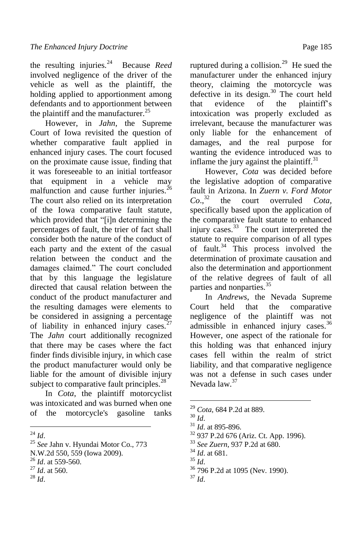the resulting injuries.<sup>24</sup> Because *Reed* involved negligence of the driver of the vehicle as well as the plaintiff, the holding applied to apportionment among defendants and to apportionment between the plaintiff and the manufacturer. $^{25}$ 

However, in *Jahn*, the Supreme Court of Iowa revisited the question of whether comparative fault applied in enhanced injury cases. The court focused on the proximate cause issue, finding that it was foreseeable to an initial tortfeasor that equipment in a vehicle may malfunction and cause further injuries.<sup>26</sup> The court also relied on its interpretation of the Iowa comparative fault statute, which provided that "[i]n determining the percentages of fault, the trier of fact shall consider both the nature of the conduct of each party and the extent of the casual relation between the conduct and the damages claimed." The court concluded that by this language the legislature directed that causal relation between the conduct of the product manufacturer and the resulting damages were elements to be considered in assigning a percentage of liability in enhanced injury cases. $27$ The *Jahn* court additionally recognized that there may be cases where the fact finder finds divisible injury, in which case the product manufacturer would only be liable for the amount of divisible injury subject to comparative fault principles. $^{28}$ 

In *Cota*, the plaintiff motorcyclist was intoxicated and was burned when one of the motorcycle's gasoline tanks

ruptured during a collision.<sup>29</sup> He sued the manufacturer under the enhanced injury theory, claiming the motorcycle was defective in its design. $30$  The court held that evidence of the plaintiff's intoxication was properly excluded as irrelevant, because the manufacturer was only liable for the enhancement of damages, and the real purpose for wanting the evidence introduced was to inflame the jury against the plaintiff. $31$ 

However, *Cota* was decided before the legislative adoption of comparative fault in Arizona. In *Zuern v. Ford Motor*   $Co.,<sup>32</sup>$ the court overruled *Cota*, specifically based upon the application of the comparative fault statute to enhanced injury cases.<sup>33</sup> The court interpreted the statute to require comparison of all types of fault. $34$  This process involved the determination of proximate causation and also the determination and apportionment of the relative degrees of fault of all parties and nonparties.<sup>35</sup>

In *Andrews*, the Nevada Supreme Court held that the comparative negligence of the plaintiff was not admissible in enhanced injury cases.<sup>36</sup> However, one aspect of the rationale for this holding was that enhanced injury cases fell within the realm of strict liability, and that comparative negligence was not a defense in such cases under Nevada law.<sup>37</sup>

<u>.</u>

<sup>36</sup> 796 P.2d at 1095 (Nev. 1990).

 $\overline{a}$ <sup>24</sup> *Id*.

<sup>25</sup> *See* Jahn v. Hyundai Motor Co., 773

N.W.2d 550, 559 (Iowa 2009).

<sup>26</sup> *Id*. at 559-560.

<sup>27</sup> *Id*. at 560.

<sup>28</sup> *Id*.

<sup>29</sup> *Cota*, 684 P.2d at 889.

<sup>30</sup> *Id*.

<sup>31</sup> *Id*. at 895-896.

<sup>32</sup> 937 P.2d 676 (Ariz. Ct. App. 1996).

<sup>33</sup> *See Zuern*, 937 P.2d at 680.

<sup>34</sup> *Id*. at 681.

<sup>35</sup> *Id*.

<sup>37</sup> *Id*.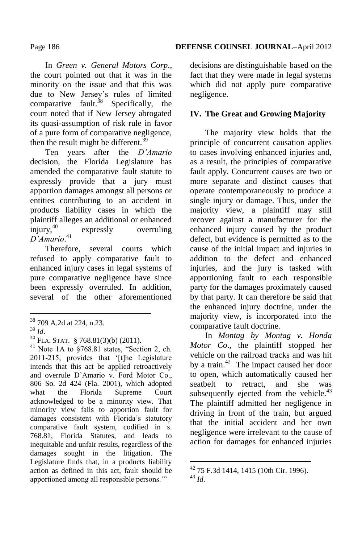#### In *Green v. General Motors Corp*., the court pointed out that it was in the minority on the issue and that this was due to New Jersey's rules of limited comparative fault.<sup>38</sup> Specifically, the court noted that if New Jersey abrogated its quasi-assumption of risk rule in favor of a pure form of comparative negligence, then the result might be different.<sup>39</sup>

Ten years after the *D'Amario* decision, the Florida Legislature has amended the comparative fault statute to expressly provide that a jury must apportion damages amongst all persons or entities contributing to an accident in products liability cases in which the plaintiff alleges an additional or enhanced injury,<sup>40</sup> expressly overruling *D'Amario*. 41

Therefore, several courts which refused to apply comparative fault to enhanced injury cases in legal systems of pure comparative negligence have since been expressly overruled. In addition, several of the other aforementioned

 $\overline{a}$ 

 $41$  Note 1A to  $\S768.81$  states, "Section 2, ch. 2011-215, provides that '[t]he Legislature intends that this act be applied retroactively and overrule D'Amario v. Ford Motor Co., 806 So. 2d 424 (Fla. 2001), which adopted what the Florida Supreme Court acknowledged to be a minority view. That minority view fails to apportion fault for damages consistent with Florida's statutory comparative fault system, codified in s. 768.81, Florida Statutes, and leads to inequitable and unfair results, regardless of the damages sought in the litigation. The Legislature finds that, in a products liability action as defined in this act, fault should be apportioned among all responsible persons."

decisions are distinguishable based on the fact that they were made in legal systems which did not apply pure comparative negligence.

### **IV. The Great and Growing Majority**

The majority view holds that the principle of concurrent causation applies to cases involving enhanced injuries and, as a result, the principles of comparative fault apply. Concurrent causes are two or more separate and distinct causes that operate contemporaneously to produce a single injury or damage. Thus, under the majority view, a plaintiff may still recover against a manufacturer for the enhanced injury caused by the product defect, but evidence is permitted as to the cause of the initial impact and injuries in addition to the defect and enhanced injuries, and the jury is tasked with apportioning fault to each responsible party for the damages proximately caused by that party. It can therefore be said that the enhanced injury doctrine, under the majority view, is incorporated into the comparative fault doctrine.

In *Montag by Montag v. Honda Motor Co*., the plaintiff stopped her vehicle on the railroad tracks and was hit by a train.<sup>42</sup> The impact caused her door to open, which automatically caused her seatbelt to retract, and she was subsequently ejected from the vehicle. $43$ The plaintiff admitted her negligence in driving in front of the train, but argued that the initial accident and her own negligence were irrelevant to the cause of action for damages for enhanced injuries

<sup>&</sup>lt;sup>38</sup> 709 A.2d at 224, n.23.

<sup>39</sup> *Id*.

 $^{40}$  FLA. STAT. § 768.81(3)(b) (2011).

<sup>1</sup>  $42$  75 F.3d 1414, 1415 (10th Cir. 1996). <sup>43</sup> *Id*.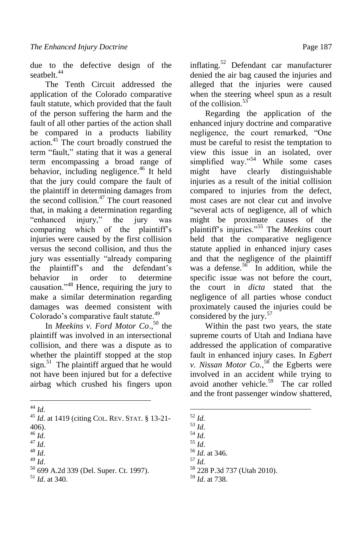due to the defective design of the seathelt<sup>44</sup>

The Tenth Circuit addressed the application of the Colorado comparative fault statute, which provided that the fault of the person suffering the harm and the fault of all other parties of the action shall be compared in a products liability action.<sup>45</sup> The court broadly construed the term "fault," stating that it was a general term encompassing a broad range of behavior, including negligence.<sup>46</sup> It held that the jury could compare the fault of the plaintiff in determining damages from the second collision. $47$  The court reasoned that, in making a determination regarding "enhanced injury," the jury was comparing which of the plaintiff's injuries were caused by the first collision versus the second collision, and thus the jury was essentially "already comparing the plaintiff's and the defendant's behavior in order to determine causation."<sup>48</sup> Hence, requiring the jury to make a similar determination regarding damages was deemed consistent with Colorado's comparative fault statute.<sup>49</sup>

In *Meekins v. Ford Motor Co*., <sup>50</sup> the plaintiff was involved in an intersectional collision, and there was a dispute as to whether the plaintiff stopped at the stop sign.<sup>51</sup> The plaintiff argued that he would not have been injured but for a defective airbag which crushed his fingers upon

 $\overline{a}$ <sup>44</sup> *Id*.

- <sup>45</sup> *Id*. at 1419 (citing COL. REV. STAT. § 13-21-
- 406).
- $^{46}$  *Id*.
- <sup>47</sup> *Id*.
- <sup>48</sup> *Id*.
- <sup>49</sup> *Id*.
- <sup>50</sup> 699 A.2d 339 (Del. Super. Ct. 1997).
- <sup>51</sup> *Id*. at 340.

inflating.<sup>52</sup> Defendant car manufacturer denied the air bag caused the injuries and alleged that the injuries were caused when the steering wheel spun as a result of the collision<sup>53</sup>

Regarding the application of the enhanced injury doctrine and comparative negligence, the court remarked, "One must be careful to resist the temptation to view this issue in an isolated, over simplified way."<sup>54</sup> While some cases might have clearly distinguishable injuries as a result of the initial collision compared to injuries from the defect, most cases are not clear cut and involve "several acts of negligence, all of which might be proximate causes of the plaintiff's injuries."<sup>55</sup> The *Meekins* court held that the comparative negligence statute applied in enhanced injury cases and that the negligence of the plaintiff was a defense.<sup>56</sup> In addition, while the specific issue was not before the court, the court in *dicta* stated that the negligence of all parties whose conduct proximately caused the injuries could be considered by the jury.<sup>57</sup>

Within the past two years, the state supreme courts of Utah and Indiana have addressed the application of comparative fault in enhanced injury cases. In *Egbert v. Nissan Motor Co.*, <sup>58</sup> the Egberts were involved in an accident while trying to avoid another vehicle.<sup>59</sup> The car rolled and the front passenger window shattered,

1

<sup>54</sup> *Id*.

- <sup>55</sup> *Id*.
- <sup>56</sup> *Id*. at 346.
- <sup>57</sup> *Id*.
- <sup>58</sup> 228 P.3d 737 (Utah 2010).
- <sup>59</sup> *Id*. at 738.

<sup>52</sup> *Id*.

<sup>53</sup> *Id*.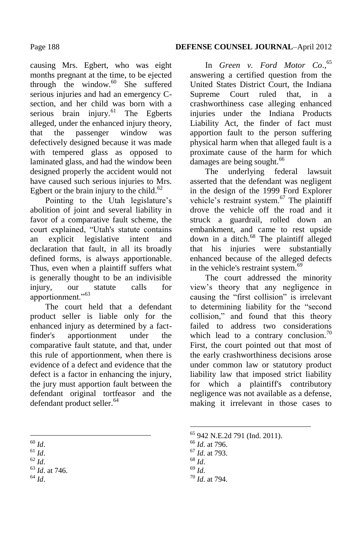causing Mrs. Egbert, who was eight months pregnant at the time, to be ejected through the window.<sup>60</sup> She suffered serious injuries and had an emergency Csection, and her child was born with a serious brain injury. $61$  The Egberts alleged, under the enhanced injury theory, that the passenger window was defectively designed because it was made with tempered glass as opposed to laminated glass, and had the window been designed properly the accident would not have caused such serious injuries to Mrs. Egbert or the brain injury to the child.<sup>62</sup>

Pointing to the Utah legislature's abolition of joint and several liability in favor of a comparative fault scheme, the court explained, "Utah's statute contains an explicit legislative intent and declaration that fault, in all its broadly defined forms, is always apportionable. Thus, even when a plaintiff suffers what is generally thought to be an indivisible injury, our statute calls for apportionment."<sup>63</sup>

The court held that a defendant product seller is liable only for the enhanced injury as determined by a factfinder's apportionment under the comparative fault statute, and that, under this rule of apportionment, when there is evidence of a defect and evidence that the defect is a factor in enhancing the injury, the jury must apportion fault between the defendant original tortfeasor and the defendant product seller.<sup>64</sup>

- <sup>61</sup> *Id*.
- <sup>62</sup> *Id*.

In *Green v. Ford Motor Co*., 65 answering a certified question from the United States District Court, the Indiana Supreme Court ruled that, in a crashworthiness case alleging enhanced injuries under the Indiana Products Liability Act, the finder of fact must apportion fault to the person suffering physical harm when that alleged fault is a proximate cause of the harm for which damages are being sought.<sup>66</sup>

The underlying federal lawsuit asserted that the defendant was negligent in the design of the 1999 Ford Explorer vehicle's restraint system.<sup>67</sup> The plaintiff drove the vehicle off the road and it struck a guardrail, rolled down an embankment, and came to rest upside down in a ditch.<sup>68</sup> The plaintiff alleged that his injuries were substantially enhanced because of the alleged defects in the vehicle's restraint system.<sup>69</sup>

The court addressed the minority view's theory that any negligence in causing the "first collision" is irrelevant to determining liability for the "second collision," and found that this theory failed to address two considerations which lead to a contrary conclusion.<sup>70</sup> First, the court pointed out that most of the early crashworthiness decisions arose under common law or statutory product liability law that imposed strict liability for which a plaintiff's contributory negligence was not available as a defense, making it irrelevant in those cases to

<sup>68</sup> *Id*.

<u>.</u>

<sup>69</sup> *Id*.

 $\overline{a}$ <sup>60</sup> *Id*.

<sup>63</sup> *Id*. at 746.

<sup>64</sup> *Id*.

<sup>65</sup> 942 N.E.2d 791 (Ind. 2011).

<sup>66</sup> *Id*. at 796.

<sup>67</sup> *Id*. at 793.

<sup>70</sup> *Id*. at 794.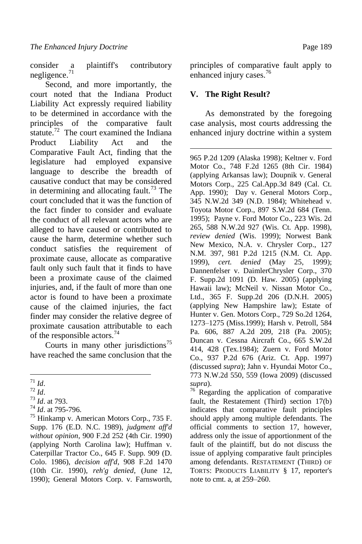consider a plaintiff's contributory negligence.<sup>71</sup>

Second, and more importantly, the court noted that the Indiana Product Liability Act expressly required liability to be determined in accordance with the principles of the comparative fault statute.<sup>72</sup> The court examined the Indiana Product Liability Act and the Comparative Fault Act, finding that the legislature had employed expansive language to describe the breadth of causative conduct that may be considered in determining and allocating fault.<sup>73</sup> The court concluded that it was the function of the fact finder to consider and evaluate the conduct of all relevant actors who are alleged to have caused or contributed to cause the harm, determine whether such conduct satisfies the requirement of proximate cause, allocate as comparative fault only such fault that it finds to have been a proximate cause of the claimed injuries, and, if the fault of more than one actor is found to have been a proximate cause of the claimed injuries, the fact finder may consider the relative degree of proximate causation attributable to each of the responsible actors.<sup>74</sup>

Courts in many other jurisdictions<sup>75</sup> have reached the same conclusion that the principles of comparative fault apply to enhanced injury cases.<sup>76</sup>

#### **V. The Right Result?**

As demonstrated by the foregoing case analysis, most courts addressing the enhanced injury doctrine within a system

1 965 P.2d 1209 (Alaska 1998); Keltner v. Ford Motor Co., 748 F.2d 1265 (8th Cir. 1984) (applying Arkansas law); Doupnik v. General Motors Corp., 225 Cal.App.3d 849 (Cal. Ct. App. 1990); Day v. General Motors Corp., 345 N.W.2d 349 (N.D. 1984); Whitehead v. Toyota Motor Corp., 897 S.W.2d 684 (Tenn. 1995); Payne v. Ford Motor Co., 223 Wis. 2d 265, 588 N.W.2d 927 (Wis. Ct. App. 1998), *review denied* (Wis. 1999); Norwest Bank New Mexico, N.A. v. Chrysler Corp., 127 N.M. 397, 981 P.2d 1215 (N.M. Ct. App. 1999), *cert. denied* (May 25, 1999); Dannenfelser v. DaimlerChrysler Corp., 370 F. Supp.2d 1091 (D. Haw. 2005) (applying Hawaii law); McNeil v. Nissan Motor Co., Ltd., 365 F. Supp.2d 206 (D.N.H. 2005) (applying New Hampshire law); Estate of Hunter v. Gen. Motors Corp., 729 So.2d 1264, 1273–1275 (Miss.1999); Harsh v. Petroll, 584 Pa. 606, 887 A.2d 209, 218 (Pa. 2005); Duncan v. Cessna Aircraft Co., 665 S.W.2d 414, 428 (Tex.1984); Zuern v. Ford Motor Co., 937 P.2d 676 (Ariz. Ct. App. 1997) (discussed *supra*); Jahn v. Hyundai Motor Co., 773 N.W.2d 550, 559 (Iowa 2009) (discussed *supra*).

<sup>76</sup> Regarding the application of comparative fault, the Restatement (Third) section 17(b) indicates that comparative fault principles should apply among multiple defendants. The official comments to section 17, however, address only the issue of apportionment of the fault of the plaintiff, but do not discuss the issue of applying comparative fault principles among defendants. RESTATEMENT (THIRD) OF TORTS: PRODUCTS LIABILITY § 17, reporter's note to cmt. a, at 259–260.

 $\overline{a}$ <sup>71</sup> *Id*.

<sup>72</sup> *Id*.

<sup>73</sup> *Id*. at 793.

<sup>74</sup> *Id*. at 795-796.

<sup>75</sup> Hinkamp v. American Motors Corp*.*, 735 F. Supp. 176 (E.D. N.C. 1989), *judgment aff'd without opinion*, 900 F.2d 252 (4th Cir. 1990) (applying North Carolina law); Huffman v. Caterpillar Tractor Co., 645 F. Supp. 909 (D. Colo. 1986), *decision aff'd*, 908 F.2d 1470 (10th Cir. 1990), *reh'g denied*, (June 12, 1990); General Motors Corp. v. Farnsworth,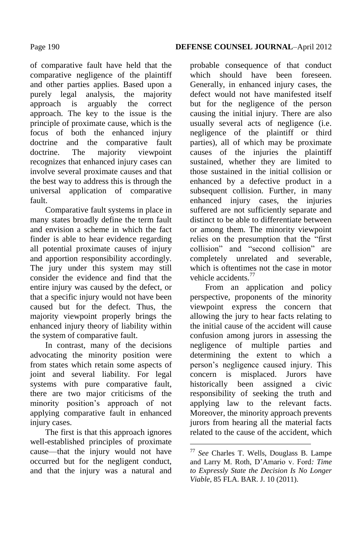of comparative fault have held that the comparative negligence of the plaintiff and other parties applies. Based upon a purely legal analysis, the majority approach is arguably the correct approach. The key to the issue is the principle of proximate cause, which is the focus of both the enhanced injury doctrine and the comparative fault doctrine. The majority viewpoint recognizes that enhanced injury cases can involve several proximate causes and that the best way to address this is through the universal application of comparative fault.

Comparative fault systems in place in many states broadly define the term fault and envision a scheme in which the fact finder is able to hear evidence regarding all potential proximate causes of injury and apportion responsibility accordingly. The jury under this system may still consider the evidence and find that the entire injury was caused by the defect, or that a specific injury would not have been caused but for the defect. Thus, the majority viewpoint properly brings the enhanced injury theory of liability within the system of comparative fault.

In contrast, many of the decisions advocating the minority position were from states which retain some aspects of joint and several liability. For legal systems with pure comparative fault, there are two major criticisms of the minority position's approach of not applying comparative fault in enhanced injury cases.

The first is that this approach ignores well-established principles of proximate cause—that the injury would not have occurred but for the negligent conduct, and that the injury was a natural and

probable consequence of that conduct which should have been foreseen Generally, in enhanced injury cases, the defect would not have manifested itself but for the negligence of the person causing the initial injury. There are also usually several acts of negligence (i.e. negligence of the plaintiff or third parties), all of which may be proximate causes of the injuries the plaintiff sustained, whether they are limited to those sustained in the initial collision or enhanced by a defective product in a subsequent collision. Further, in many enhanced injury cases, the injuries suffered are not sufficiently separate and distinct to be able to differentiate between or among them. The minority viewpoint relies on the presumption that the "first" collision" and "second collision" are completely unrelated and severable, which is oftentimes not the case in motor vehicle accidents<sup>77</sup>

From an application and policy perspective, proponents of the minority viewpoint express the concern that allowing the jury to hear facts relating to the initial cause of the accident will cause confusion among jurors in assessing the negligence of multiple parties and determining the extent to which a person's negligence caused injury. This concern is misplaced. Jurors have historically been assigned a civic responsibility of seeking the truth and applying law to the relevant facts. Moreover, the minority approach prevents jurors from hearing all the material facts related to the cause of the accident, which

<u>.</u>

<sup>77</sup> *See* Charles T. Wells, Douglass B. Lampe and Larry M. Roth, D'Amario v. Ford*: Time to Expressly State the Decision Is No Longer Viable*, 85 FLA. BAR. J. 10 (2011).